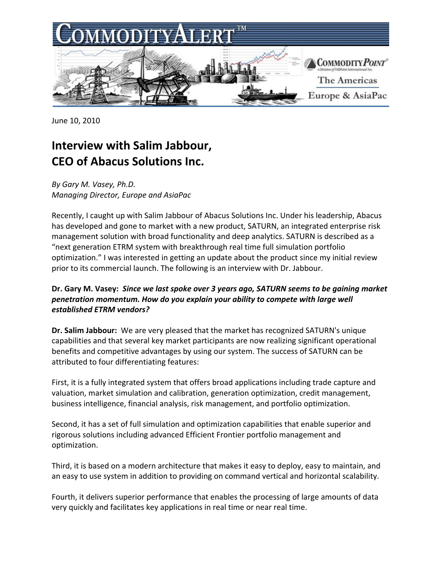

June 10, 2010

# **Interview with Salim Jabbour, CEO of Abacus Solutions Inc.**

*By Gary M. Vasey, Ph.D. Managing Director, Europe and AsiaPac*

Recently, I caught up with Salim Jabbour of Abacus Solutions Inc. Under his leadership, Abacus has developed and gone to market with a new product, SATURN, an integrated enterprise risk management solution with broad functionality and deep analytics. SATURN is described as a "next generation ETRM system with breakthrough real time full simulation portfolio optimization." I was interested in getting an update about the product since my initial review prior to its commercial launch. The following is an interview with Dr. Jabbour.

## **Dr. Gary M. Vasey:** *Since we last spoke over 3 years ago, SATURN seems to be gaining market penetration momentum. How do you explain your ability to compete with large well established ETRM vendors?*

**Dr. Salim Jabbour:** We are very pleased that the market has recognized SATURN's unique capabilities and that several key market participants are now realizing significant operational benefits and competitive advantages by using our system. The success of SATURN can be attributed to four differentiating features:

First, it is a fully integrated system that offers broad applications including trade capture and valuation, market simulation and calibration, generation optimization, credit management, business intelligence, financial analysis, risk management, and portfolio optimization.

Second, it has a set of full simulation and optimization capabilities that enable superior and rigorous solutions including advanced Efficient Frontier portfolio management and optimization.

Third, it is based on a modern architecture that makes it easy to deploy, easy to maintain, and an easy to use system in addition to providing on command vertical and horizontal scalability.

Fourth, it delivers superior performance that enables the processing of large amounts of data very quickly and facilitates key applications in real time or near real time.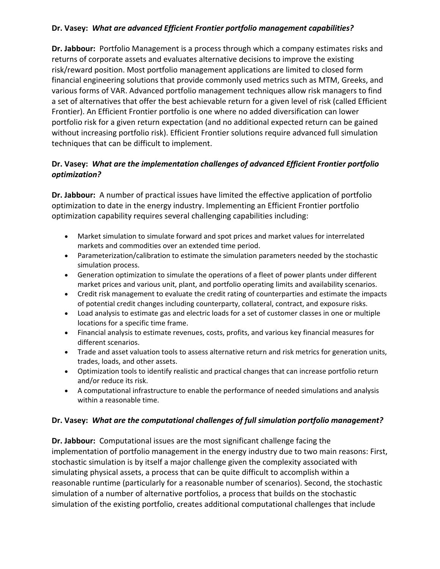### **Dr. Vasey:** *What are advanced Efficient Frontier portfolio management capabilities?*

**Dr. Jabbour:** Portfolio Management is a process through which a company estimates risks and returns of corporate assets and evaluates alternative decisions to improve the existing risk/reward position. Most portfolio management applications are limited to closed form financial engineering solutions that provide commonly used metrics such as MTM, Greeks, and various forms of VAR. Advanced portfolio management techniques allow risk managers to find a set of alternatives that offer the best achievable return for a given level of risk (called Efficient Frontier). An Efficient Frontier portfolio is one where no added diversification can lower portfolio risk for a given return expectation (and no additional expected return can be gained without increasing portfolio risk). Efficient Frontier solutions require advanced full simulation techniques that can be difficult to implement.

## **Dr. Vasey:** *What are the implementation challenges of advanced Efficient Frontier portfolio optimization?*

**Dr. Jabbour:** A number of practical issues have limited the effective application of portfolio optimization to date in the energy industry. Implementing an Efficient Frontier portfolio optimization capability requires several challenging capabilities including:

- Market simulation to simulate forward and spot prices and market values for interrelated markets and commodities over an extended time period.
- Parameterization/calibration to estimate the simulation parameters needed by the stochastic simulation process.
- Generation optimization to simulate the operations of a fleet of power plants under different market prices and various unit, plant, and portfolio operating limits and availability scenarios.
- Credit risk management to evaluate the credit rating of counterparties and estimate the impacts of potential credit changes including counterparty, collateral, contract, and exposure risks.
- Load analysis to estimate gas and electric loads for a set of customer classes in one or multiple locations for a specific time frame.
- Financial analysis to estimate revenues, costs, profits, and various key financial measures for different scenarios.
- Trade and asset valuation tools to assess alternative return and risk metrics for generation units, trades, loads, and other assets.
- Optimization tools to identify realistic and practical changes that can increase portfolio return and/or reduce its risk.
- A computational infrastructure to enable the performance of needed simulations and analysis within a reasonable time.

### **Dr. Vasey:** *What are the computational challenges of full simulation portfolio management?*

**Dr. Jabbour:** Computational issues are the most significant challenge facing the implementation of portfolio management in the energy industry due to two main reasons: First, stochastic simulation is by itself a major challenge given the complexity associated with simulating physical assets, a process that can be quite difficult to accomplish within a reasonable runtime (particularly for a reasonable number of scenarios). Second, the stochastic simulation of a number of alternative portfolios, a process that builds on the stochastic simulation of the existing portfolio, creates additional computational challenges that include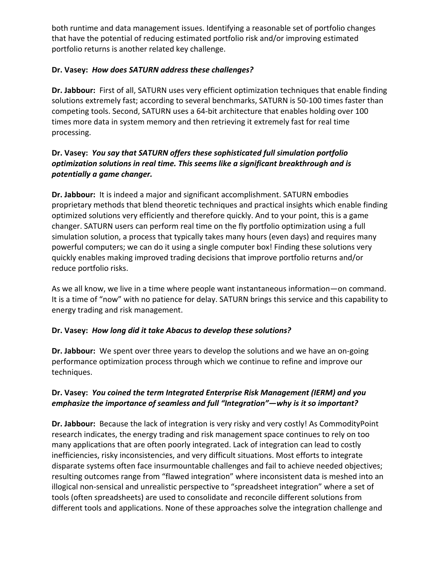both runtime and data management issues. Identifying a reasonable set of portfolio changes that have the potential of reducing estimated portfolio risk and/or improving estimated portfolio returns is another related key challenge.

## **Dr. Vasey:** *How does SATURN address these challenges?*

**Dr. Jabbour:** First of all, SATURN uses very efficient optimization techniques that enable finding solutions extremely fast; according to several benchmarks, SATURN is 50‐100 times faster than competing tools. Second, SATURN uses a 64‐bit architecture that enables holding over 100 times more data in system memory and then retrieving it extremely fast for real time processing.

## **Dr. Vasey:** *You say that SATURN offers these sophisticated full simulation portfolio optimization solutions in real time. This seems like a significant breakthrough and is potentially a game changer.*

**Dr. Jabbour:** It is indeed a major and significant accomplishment. SATURN embodies proprietary methods that blend theoretic techniques and practical insights which enable finding optimized solutions very efficiently and therefore quickly. And to your point, this is a game changer. SATURN users can perform real time on the fly portfolio optimization using a full simulation solution, a process that typically takes many hours (even days) and requires many powerful computers; we can do it using a single computer box! Finding these solutions very quickly enables making improved trading decisions that improve portfolio returns and/or reduce portfolio risks.

As we all know, we live in a time where people want instantaneous information—on command. It is a time of "now" with no patience for delay. SATURN brings this service and this capability to energy trading and risk management.

### **Dr. Vasey:** *How long did it take Abacus to develop these solutions?*

**Dr. Jabbour:** We spent over three years to develop the solutions and we have an on‐going performance optimization process through which we continue to refine and improve our techniques.

### **Dr. Vasey:** *You coined the term Integrated Enterprise Risk Management (IERM) and you emphasize the importance of seamless and full "Integration"—why is it so important?*

**Dr. Jabbour:** Because the lack of integration is very risky and very costly! As CommodityPoint research indicates, the energy trading and risk management space continues to rely on too many applications that are often poorly integrated. Lack of integration can lead to costly inefficiencies, risky inconsistencies, and very difficult situations. Most efforts to integrate disparate systems often face insurmountable challenges and fail to achieve needed objectives; resulting outcomes range from "flawed integration" where inconsistent data is meshed into an illogical non‐sensical and unrealistic perspective to "spreadsheet integration" where a set of tools (often spreadsheets) are used to consolidate and reconcile different solutions from different tools and applications. None of these approaches solve the integration challenge and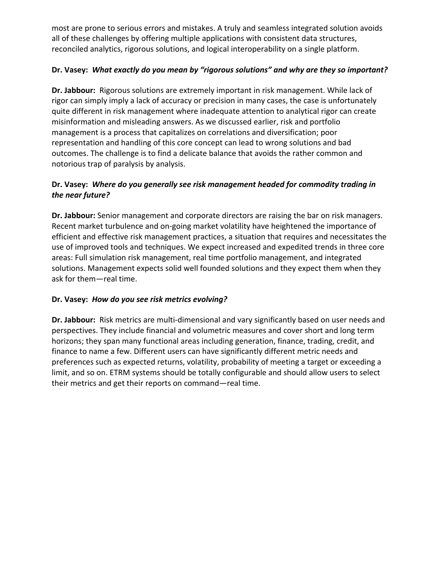most are prone to serious errors and mistakes. A truly and seamless integrated solution avoids all of these challenges by offering multiple applications with consistent data structures, reconciled analytics, rigorous solutions, and logical interoperability on a single platform.

## **Dr. Vasey:** *What exactly do you mean by "rigorous solutions" and why are they so important?*

**Dr. Jabbour:** Rigorous solutions are extremely important in risk management. While lack of rigor can simply imply a lack of accuracy or precision in many cases, the case is unfortunately quite different in risk management where inadequate attention to analytical rigor can create misinformation and misleading answers. As we discussed earlier, risk and portfolio management is a process that capitalizes on correlations and diversification; poor representation and handling of this core concept can lead to wrong solutions and bad outcomes. The challenge is to find a delicate balance that avoids the rather common and notorious trap of paralysis by analysis.

## **Dr. Vasey:** *Where do you generally see risk management headed for commodity trading in the near future?*

**Dr. Jabbour:** Senior management and corporate directors are raising the bar on risk managers. Recent market turbulence and on‐going market volatility have heightened the importance of efficient and effective risk management practices, a situation that requires and necessitates the use of improved tools and techniques. We expect increased and expedited trends in three core areas: Full simulation risk management, real time portfolio management, and integrated solutions. Management expects solid well founded solutions and they expect them when they ask for them—real time.

### **Dr. Vasey:** *How do you see risk metrics evolving?*

Dr. Jabbour: Risk metrics are multi-dimensional and vary significantly based on user needs and perspectives. They include financial and volumetric measures and cover short and long term horizons; they span many functional areas including generation, finance, trading, credit, and finance to name a few. Different users can have significantly different metric needs and preferences such as expected returns, volatility, probability of meeting a target or exceeding a limit, and so on. ETRM systems should be totally configurable and should allow users to select their metrics and get their reports on command—real time.